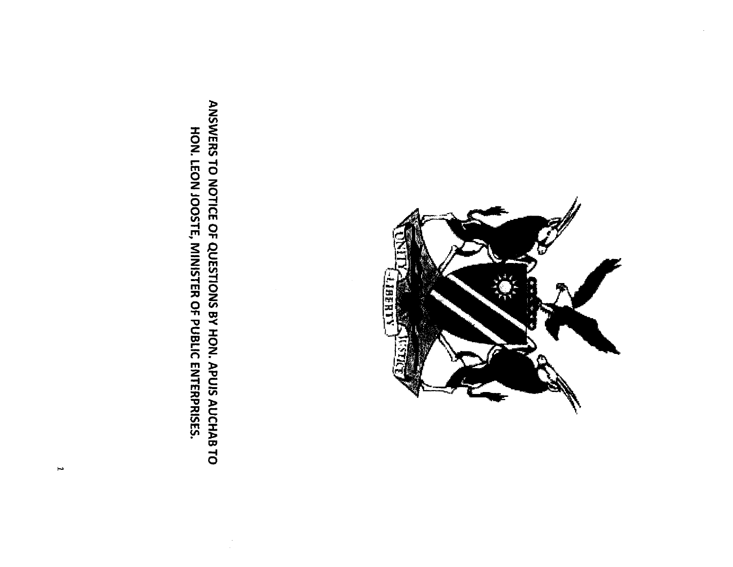**LHAGT** 

ANSWERS TO NOTICE OF QUESTIONS BY HON. APUIS AUCHAB TO HON. LEON JOOSTE, MINISTER OF PUBLIC ENTERPRISES.

 $\cdot$ 

 $\overline{\phantom{a}}$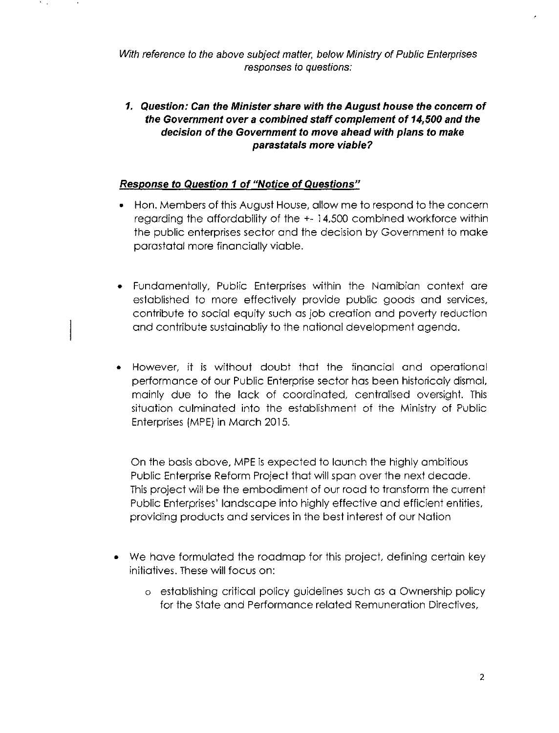*With reference to the above subject matter, below Ministry* of *Public Enterprises responses to questions:*

*1. Question: Can the Minister share with the August house the concern* **of** *the Government over* **a** *combined staff complement* **of** *14,500 and the decision* **of** *the Government to move ahead with plans to make parastatals more viable?*

## *Response to Question* **1of** *"Notice* **of** *Questions"*

- Hon. Members of this August House, allow me to respond to the concern regarding the affordability of the +- 14,500 combined workforce within the public enterprises sector and the decision by Government to make parastatal more financially viable.
- Fundamentally, Public Enterprises within the Namibian context are established to more effectively provide public goods and services, contribute to social equity such as job creation and poverty reduction and contribute sustainabliy to the national development agenda.
- However, it is without doubt that the financial and operational performance of our Public Enterprise sector has been historicaly dismal, mainly due to the lack of coordinated, centralised oversight. This situation culminated into the establishment of the Ministry of Public Enterprises (MPE) in March 2015.

On the basis above, MPE is expected to launch the highly ambitious Public Enterprise Reform Project that will span over the next decade. This project will be the embodiment of our road to transform the current Public Enterprises' landscape into highly effective and efficient entities, providing products and services in the best interest of our Nation

- We have formulated the roadmap for this project, defining certain key initiatives. These will focus on:
	- o establishing critical policy guidelines such as a Ownership policy for the state and Performance related Remuneration Directives,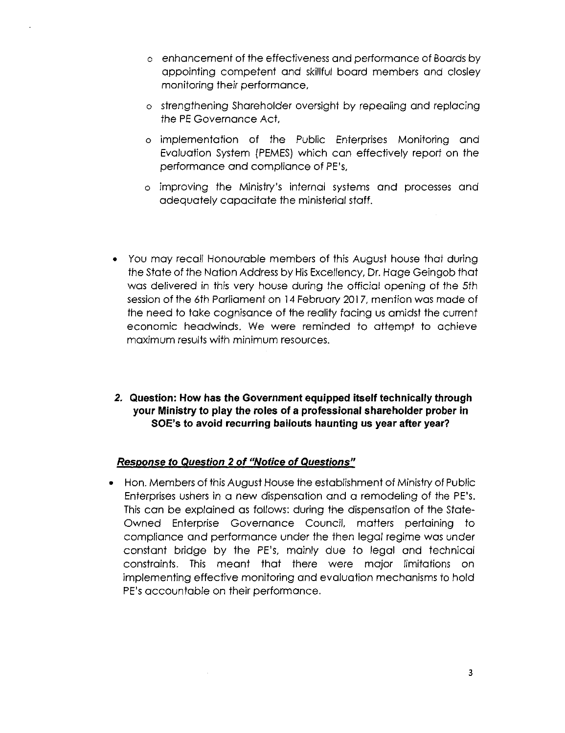- o enhancement of the effectiveness and performance of Boardsby appointing competent and skillful board members and closley monitoring their performance,
- o strengthening Shareholder oversight by repealing and replacing the **PE** Governance Act,
- o implementation of the Public Enterprises Monitoring and Evaluation System (PEMES)which can effectively report on the performance and compliance of PE's,
- o improving the Ministry's internal systems and processes and adequately capacitate the ministerial staff.
- You may recall Honourable members of this August house that during the State of the Nation Address by HisExcellency, Dr. Hage Geingob that was delivered in this very house during the official opening of the 5th session of the 6th Parliament on 14 February 2017, mention was made of the need to take cognisance of the reality facing us amidst the current economic headwinds. We were reminded to attempt to achieve maximum results with minimum resources.
- **2. Question: How has the Government equipped itself technically through your Ministry to play the roles of a professional shareholder prober in SOE's to avoid recurring bailouts haunting us year after year?**

## *Response to Question* **2 of** *"Notice* **of** *Questions"*

• Hon. Members of thisAugust House the establishment of Ministryof Public Enterprises ushers in a new dispensation and a remodeling of the PE's. Thiscan be explained as follows: during the dispensation of the State-Owned Enterprise Governance Council, matters pertaining to compliance and performance under the then legal regime was under constant bridge by the PE's, mainly due to legal and technical constraints. This meant that there were major limitations on implementing effective monitoring and evaluation mechanisms to hold PE's accountable on their performance.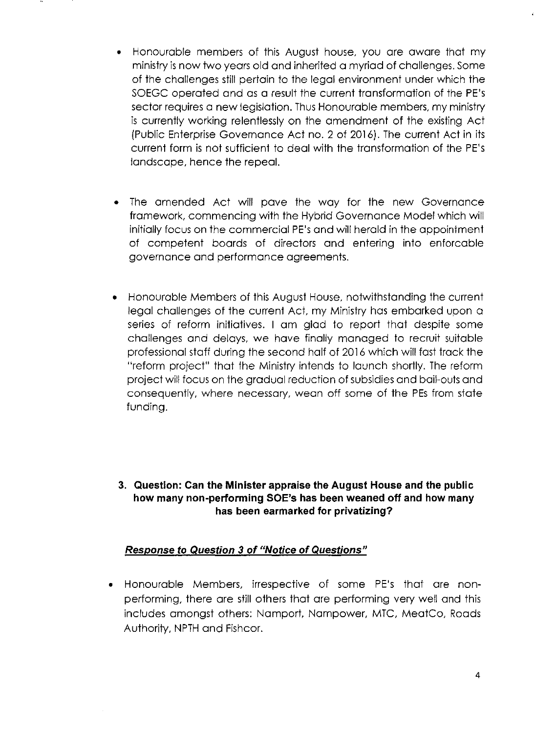- Honourable members of this August house, you are aware that my ministryisnow two years old and inherited a myriad of challenges. Some of the challenges still pertain to the legal environment under which the SOEGC operated and as a result the current transformation of the PE's sector requires a new legislation. Thus Honourable members, my ministry is currently working relentlessly on the amendment of the existing Act (Public Enterprise Governance Act no. 2 of 2016). The current Act in its current form is not sufficient to deal with the transformation of the PE's landscape, hence the repeal.
- The amended Act will pave the way for the new Governance framework, commencing with the Hybrid Governance Model which will initially focus on the commercial PE's and will herald in the appointment of competent boards of directors and entering into enforcable governance and performance agreements.
- Honourable Members of this August House, notwithstanding the current legal challenges of the current Act, my Ministry has embarked upon a series of reform initiatives. I am glad to report that despite some challenges and delays, we have finally managed to recruit suitable professional staff during the second half of 2016which will fast track the "reform project" that the Ministry intends to launch shortly. The reform project will focus on the gradual reduction of subsidies and bail-outs and consequently, where necessary, wean off some of the PEs from state funding.
- **3. Question: Can the Minister appraise the August House and the public how many non-performing SOE's has been weaned off and how many has been earmarked for privatizing?**

## *Response to Question* **3 of** *"Notice* **of** *Questions"*

• Honourable Members, irrespective of some PE's that are nonperforming, there are still others that are performing very well and this includes amongst others: Namport, Nampower, MTC, MeatCo, Roads Authority, NPTH and Fishcor.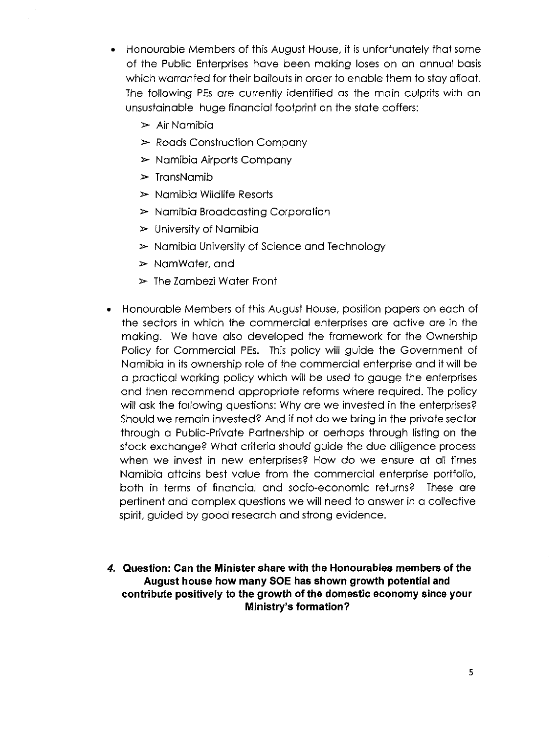• Honourable Members of this August House, it is unfortunately that some of the Public Enterprises have been making loses on an annual basis which warranted for their bailouts in order to enable them to stay afloat. The following PEs are currently identified as the main culprits with an unsustainable huge financial footprint on the state coffers:

- $\triangleright$  Air Namibia
- $\triangleright$  Roads Construction Company
- $\triangleright$  Namibia Airports Company
- $\triangleright$  TransNamib
- $\triangleright$  Namibia Wildlife Resorts
- $\triangleright$  Namibia Broadcasting Corporation
- $\triangleright$  University of Namibia
- $\triangleright$  Namibia University of Science and Technology
- $\triangleright$  NamWater, and
- $\geq$  The Zambezi Water Front
- Honourable Members of this August House, position papers on each of the sectors in which the commercial enterprises are active are in the making. We have also developed the framework for the Ownership Policy for Commercial PEs. This policy will guide the Government of Namibia in its ownership role of the commercial enterprise and it will be a practical working policy which will be used to gauge the enterprises and then recommend appropriate reforms where required. The policy will ask the following questions: Why are we invested in the enterprises? Should we remain invested? And if not do we bring in the private sector through a Public-Private Partnership or perhaps through listing on the stock exchange? What criteria should guide the due diligence process when we invest in new enterprises? How do we ensure at all times Namibia attains best value from the commercial enterprise portfolio, both in terms of financial and socio-economic returns? These are pertinent and complex questions we will need to answer in a collective spirit, guided by good research and strong evidence.
- **4. Question: Can the Minister share with the Honourables members of the August house how many SOE has shown growth potential and contribute positively to the growth of the domestic economy since your Ministry'S formation?**